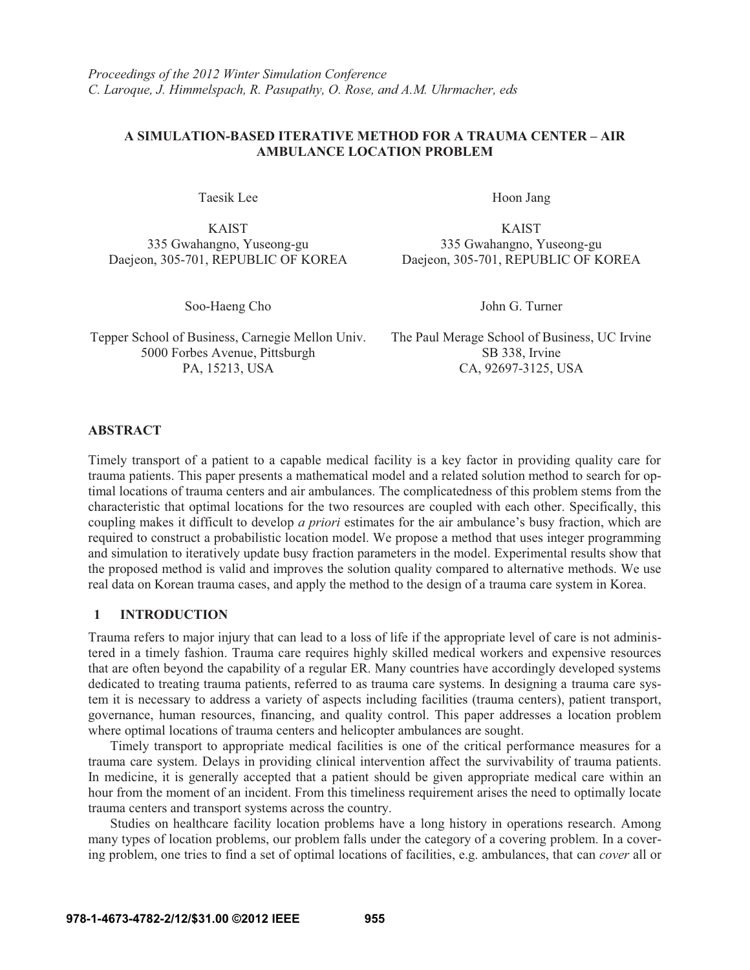# **A SIMULATION-BASED ITERATIVE METHOD FOR A TRAUMA CENTER – AIR AMBULANCE LOCATION PROBLEM**

KAIST KAIST 335 Gwahangno, Yuseong-gu 335 Gwahangno, Yuseong-gu Daejeon, 305-701, REPUBLIC OF KOREA Daejeon, 305-701, REPUBLIC OF KOREA

Taesik Lee Hoon Jang

Soo-Haeng Cho John G. Turner

Tepper School of Business, Carnegie Mellon Univ. The Paul Merage School of Business, UC Irvine 5000 Forbes Avenue, Pittsburgh SB 338, Irvine

PA, 15213, USA CA, 92697-3125, USA

# **ABSTRACT**

Timely transport of a patient to a capable medical facility is a key factor in providing quality care for trauma patients. This paper presents a mathematical model and a related solution method to search for optimal locations of trauma centers and air ambulances. The complicatedness of this problem stems from the characteristic that optimal locations for the two resources are coupled with each other. Specifically, this coupling makes it difficult to develop *a priori* estimates for the air ambulance's busy fraction, which are required to construct a probabilistic location model. We propose a method that uses integer programming and simulation to iteratively update busy fraction parameters in the model. Experimental results show that the proposed method is valid and improves the solution quality compared to alternative methods. We use real data on Korean trauma cases, and apply the method to the design of a trauma care system in Korea.

# **1 INTRODUCTION**

Trauma refers to major injury that can lead to a loss of life if the appropriate level of care is not administered in a timely fashion. Trauma care requires highly skilled medical workers and expensive resources that are often beyond the capability of a regular ER. Many countries have accordingly developed systems dedicated to treating trauma patients, referred to as trauma care systems. In designing a trauma care system it is necessary to address a variety of aspects including facilities (trauma centers), patient transport, governance, human resources, financing, and quality control. This paper addresses a location problem where optimal locations of trauma centers and helicopter ambulances are sought.

 Timely transport to appropriate medical facilities is one of the critical performance measures for a trauma care system. Delays in providing clinical intervention affect the survivability of trauma patients. In medicine, it is generally accepted that a patient should be given appropriate medical care within an hour from the moment of an incident. From this timeliness requirement arises the need to optimally locate trauma centers and transport systems across the country.

Studies on healthcare facility location problems have a long history in operations research. Among many types of location problems, our problem falls under the category of a covering problem. In a covering problem, one tries to find a set of optimal locations of facilities, e.g. ambulances, that can *cover* all or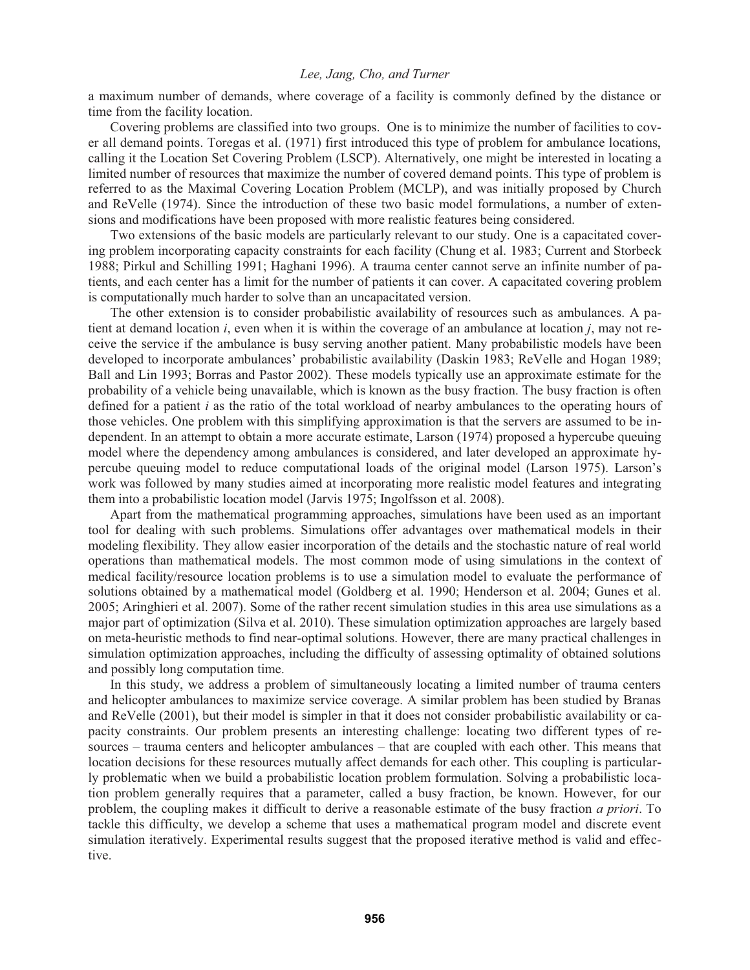a maximum number of demands, where coverage of a facility is commonly defined by the distance or time from the facility location.

 Covering problems are classified into two groups. One is to minimize the number of facilities to cover all demand points. Toregas et al. (1971) first introduced this type of problem for ambulance locations, calling it the Location Set Covering Problem (LSCP). Alternatively, one might be interested in locating a limited number of resources that maximize the number of covered demand points. This type of problem is referred to as the Maximal Covering Location Problem (MCLP), and was initially proposed by Church and ReVelle (1974). Since the introduction of these two basic model formulations, a number of extensions and modifications have been proposed with more realistic features being considered.

 Two extensions of the basic models are particularly relevant to our study. One is a capacitated covering problem incorporating capacity constraints for each facility (Chung et al. 1983; Current and Storbeck 1988; Pirkul and Schilling 1991; Haghani 1996). A trauma center cannot serve an infinite number of patients, and each center has a limit for the number of patients it can cover. A capacitated covering problem is computationally much harder to solve than an uncapacitated version.

 The other extension is to consider probabilistic availability of resources such as ambulances. A patient at demand location *i*, even when it is within the coverage of an ambulance at location *j*, may not receive the service if the ambulance is busy serving another patient. Many probabilistic models have been developed to incorporate ambulances' probabilistic availability (Daskin 1983; ReVelle and Hogan 1989; Ball and Lin 1993; Borras and Pastor 2002). These models typically use an approximate estimate for the probability of a vehicle being unavailable, which is known as the busy fraction. The busy fraction is often defined for a patient *i* as the ratio of the total workload of nearby ambulances to the operating hours of those vehicles. One problem with this simplifying approximation is that the servers are assumed to be independent. In an attempt to obtain a more accurate estimate, Larson (1974) proposed a hypercube queuing model where the dependency among ambulances is considered, and later developed an approximate hypercube queuing model to reduce computational loads of the original model (Larson 1975). Larson'<sup>s</sup> work was followed by many studies aimed at incorporating more realistic model features and integrating them into a probabilistic location model (Jarvis 1975; Ingolfsson et al. 2008).

 Apart from the mathematical programming approaches, simulations have been used as an important tool for dealing with such problems. Simulations offer advantages over mathematical models in their modeling flexibility. They allow easier incorporation of the details and the stochastic nature of real world operations than mathematical models. The most common mode of using simulations in the context of medical facility/resource location problems is to use a simulation model to evaluate the performance of solutions obtained by a mathematical model (Goldberg et al. 1990; Henderson et al. 2004; Gunes et al. 2005; Aringhieri et al. 2007). Some of the rather recent simulation studies in this area use simulations as a major part of optimization (Silva et al. 2010). These simulation optimization approaches are largely based on meta-heuristic methods to find near-optimal solutions. However, there are many practical challenges in simulation optimization approaches, including the difficulty of assessing optimality of obtained solutions and possibly long computation time.

In this study, we address a problem of simultaneously locating a limited number of trauma centers and helicopter ambulances to maximize service coverage. A similar problem has been studied by Branas and ReVelle (2001), but their model is simpler in that it does not consider probabilistic availability or capacity constraints. Our problem presents an interesting challenge: locating two different types of resources – trauma centers and helicopter ambulances – that are coupled with each other. This means that location decisions for these resources mutually affect demands for each other. This coupling is particularly problematic when we build a probabilistic location problem formulation. Solving a probabilistic location problem generally requires that a parameter, called a busy fraction, be known. However, for our problem, the coupling makes it difficult to derive a reasonable estimate of the busy fraction *a priori*. To tackle this difficulty, we develop a scheme that uses a mathematical program model and discrete event simulation iteratively. Experimental results suggest that the proposed iterative method is valid and effective.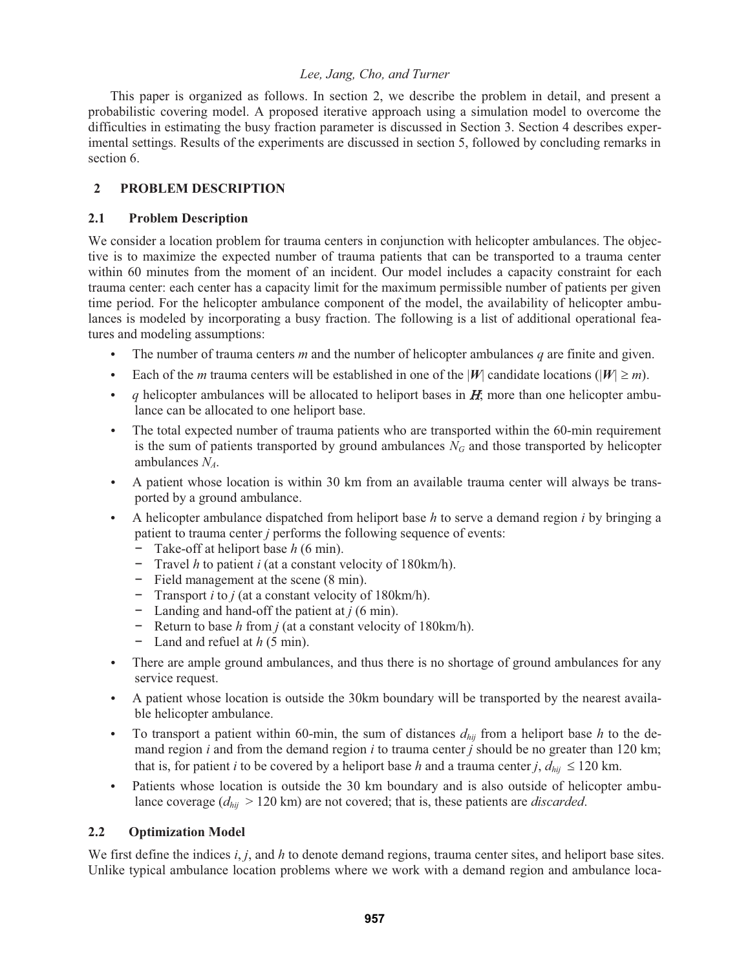This paper is organized as follows. In section 2, we describe the problem in detail, and present a probabilistic covering model. A proposed iterative approach using a simulation model to overcome the difficulties in estimating the busy fraction parameter is discussed in Section 3. Section 4 describes experimental settings. Results of the experiments are discussed in section 5, followed by concluding remarks in section 6.

# **2 PROBLEM DESCRIPTION**

# **2.1 Problem Description**

We consider a location problem for trauma centers in conjunction with helicopter ambulances. The objective is to maximize the expected number of trauma patients that can be transported to a trauma center within 60 minutes from the moment of an incident. Our model includes a capacity constraint for each trauma center: each center has a capacity limit for the maximum permissible number of patients per given time period. For the helicopter ambulance component of the model, the availability of helicopter ambulances is modeled by incorporating a busy fraction. The following is a list of additional operational features and modeling assumptions:

- The number of trauma centers *m* and the number of helicopter ambulances *q* are finite and given.
- Each of the *m* trauma centers will be established in one of the  $|W|$  candidate locations ( $|W| \ge m$ ).
- *q* helicopter ambulances will be allocated to heliport bases in  $H$ ; more than one helicopter ambulance can be allocated to one heliport base.
- The total expected number of trauma patients who are transported within the 60-min requirement is the sum of patients transported by ground ambulances  $N_G$  and those transported by helicopter ambulances  $N_A$ .
- A patient whose location is within 30 km from an available trauma center will always be transported by a ground ambulance.
- A helicopter ambulance dispatched from heliport base *h* to serve a demand region *i* by bringing a patient to trauma center *j* performs the following sequence of events:
	- − Take-off at heliport base *h* (6 min).
	- − Travel *h* to patient *i* (at a constant velocity of 180km/h).
	- − Field management at the scene (8 min).
	- − Transport *i* to *j* (at a constant velocity of 180km/h).
	- − Landing and hand-off the patient at *j* (6 min).
	- − Return to base *h* from *j* (at a constant velocity of 180km/h).
	- − Land and refuel at *h* (5 min).
- There are ample ground ambulances, and thus there is no shortage of ground ambulances for any service request.
- A patient whose location is outside the 30km boundary will be transported by the nearest available helicopter ambulance.
- To transport a patient within 60-min, the sum of distances  $d_{hi}$  from a heliport base h to the demand region *i* and from the demand region *i* to trauma center *j* should be no greater than 120 km; that is, for patient *i* to be covered by a heliport base *h* and a trauma center *j*,  $d_{hij} \leq 120$  km.
- Patients whose location is outside the 30 km boundary and is also outside of helicopter ambulance coverage (*dhij* > 120 km) are not covered; that is, these patients are *discarded*.

# **2.2 Optimization Model**

We first define the indices *i*, *j*, and *h* to denote demand regions, trauma center sites, and heliport base sites. Unlike typical ambulance location problems where we work with a demand region and ambulance loca-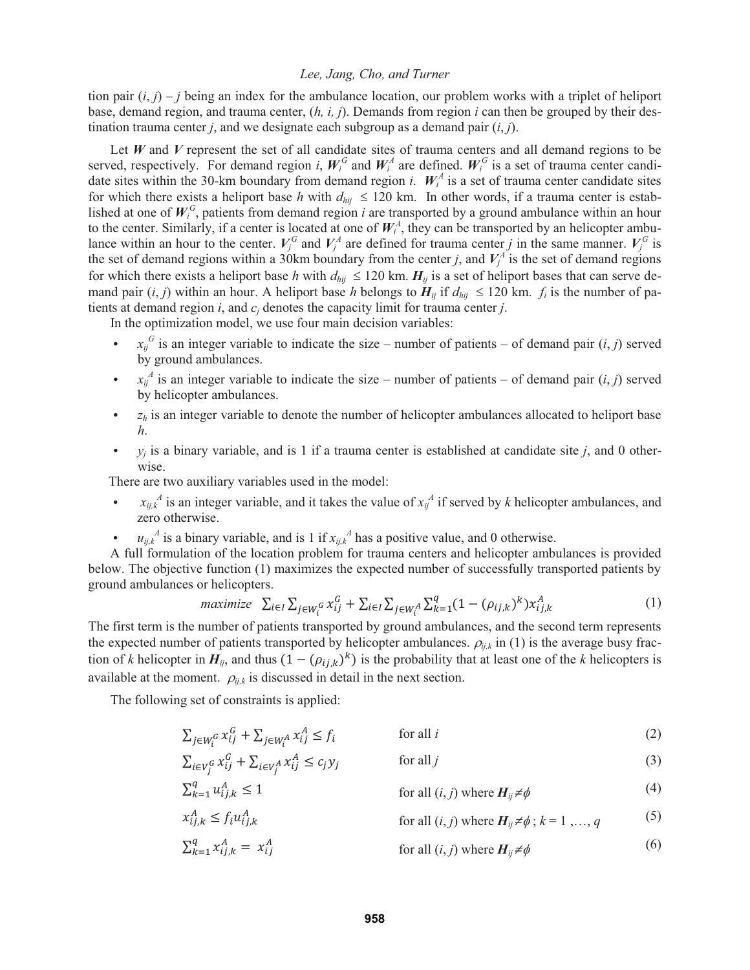tion pair  $(i, j) - j$  being an index for the ambulance location, our problem works with a triplet of heliport base, demand region, and trauma center, (*h, i, j*). Demands from region *i* can then be grouped by their destination trauma center *j*, and we designate each subgroup as a demand pair (*i*, *j*).

Let  $W$  and  $V$  represent the set of all candidate sites of trauma centers and all demand regions to be served, respectively. For demand region *i*,  $W_i^G$  and  $W_i^A$  are defined.  $W_i^G$  is a set of trauma center candidate sites within the 30-km boundary from demand region *i*.  $W_i^A$  is a set of trauma center candidate sites for which there exists a heliport base *h* with  $d_{hij} \le 120$  km. In other words, if a trauma center is established at one of  $W_i^G$ , patients from demand region *i* are transported by a ground ambulance within an hour to the center. Similarly, if a center is located at one of  $W_i^A$ , they can be transported by an helicopter ambulance within an hour to the center.  $V_j^G$  and  $V_j^A$  are defined for trauma center *j* in the same manner.  $V_j^G$  is the set of demand regions within a 30km boundary from the center *j*, and  $V_f^A$  is the set of demand regions for which there exists a heliport base *h* with  $d_{hij} \le 120$  km.  $H_{ij}$  is a set of heliport bases that can serve demand pair  $(i, j)$  within an hour. A heliport base *h* belongs to  $H_{ii}$  if  $d_{hii} \le 120$  km.  $f_i$  is the number of patients at demand region *i*, and *cj* denotes the capacity limit for trauma center *j*.

In the optimization model, we use four main decision variables:

- *xij*  $x_{ii}^G$  is an integer variable to indicate the size – number of patients – of demand pair  $(i, j)$  served by ground ambulances.
- $x_{ij}^A$  is an integer variable to indicate the size number of patients of demand pair  $(i, j)$  served by heliconter ambulances by helicopter ambulances.
- $\bullet$   $\mathbf{z}_h$  is an integer variable to denote the number of helicopter ambulances allocated to heliport base *h*.
- $y_i$  is a binary variable, and is 1 if a trauma center is established at candidate site *j*, and 0 otherwise.

There are two auxiliary variables used in the model:

- $x_{ijk}^A$  is an integer variable, and it takes the value of  $x_{ij}^A$  if served by *k* helicopter ambulances, and zero otherwise.
- $u_{ij,k}^A$  is a binary variable, and is 1 if  $x_{ij,k}^A$  has a positive value, and 0 otherwise.

A full formulation of the location problem for trauma centers and helicopter ambulances is provided below. The objective function (1) maximizes the expected number of successfully transported patients by ground ambulances or helicopters.

$$
maximize \sum_{i \in I} \sum_{j \in W_i^G} x_{ij}^G + \sum_{i \in I} \sum_{j \in W_i^A} \sum_{k=1}^q (1 - (\rho_{ij,k})^k) x_{ij,k}^A
$$
 (1)

The first term is the number of patients transported by ground ambulances, and the second term represents the expected number of patients transported by helicopter ambulances.  $\rho_{ijk}$  in (1) is the average busy fraction of *k* helicopter in  $H_{ij}$ , and thus  $(1 - (\rho_{ijk})^k)$  is the probability that at least one of the *k* helicopters is available at the moment.  $\rho_{ijk}$  is discussed in detail in the next section.

The following set of constraints is applied:

$$
\sum_{j \in W_i^G} x_{ij}^G + \sum_{j \in W_i^A} x_{ij}^A \le f_i \qquad \text{for all } i \tag{2}
$$

$$
\sum_{i \in V_j^G} x_{ij}^G + \sum_{i \in V_j^A} x_{ij}^A \le c_j y_j \qquad \text{for all } j \tag{3}
$$

$$
\sum_{k=1}^{q} u_{ij,k}^A \le 1
$$
 for all  $(i,j)$  where  $H_{ij} \ne \phi$  (4)

$$
x_{ij,k}^A \le f_i u_{ij,k}^A \qquad \text{for all } (i,j) \text{ where } H_{ij} \neq \phi \, ; \, k = 1, \dots, q \qquad (5)
$$

$$
\nabla^q \qquad A \qquad A \qquad (6)
$$

$$
\sum_{k=1}^{q} x_{ij,k}^{A} = x_{ij}^{A}
$$
 for all  $(i, j)$  where  $H_{ij} \neq \phi$  (6)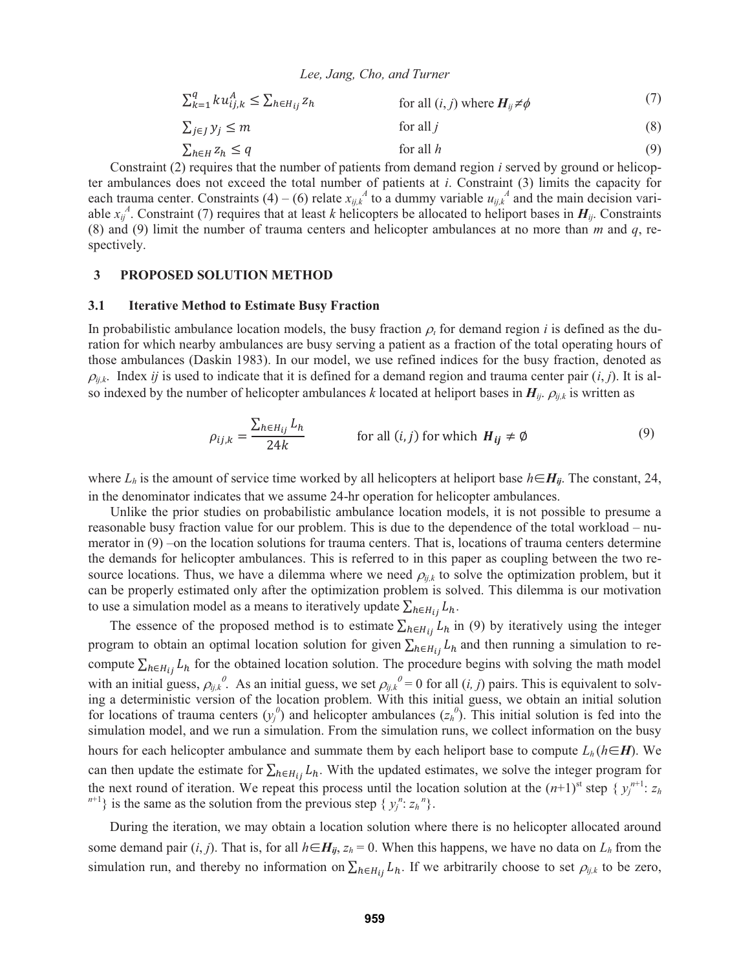$$
\sum_{k=1}^{q} k u_{ij,k}^{A} \le \sum_{h \in H_{ij}} z_h \qquad \text{for all } (i,j) \text{ where } H_{ij} \neq \emptyset \tag{7}
$$

$$
\sum_{j \in J} y_j \le m \qquad \text{for all } j \tag{8}
$$

$$
\sum_{h \in H} z_h \le q \qquad \qquad \text{for all } h \tag{9}
$$

 Constraint (2) requires that the number of patients from demand region *i* served by ground or helicopter ambulances does not exceed the total number of patients at *i*. Constraint (3) limits the capacity for each trauma center. Constraints (4) – (6) relate  $x_{ij,k}^A$  to a dummy variable  $u_{ij,k}^A$  and the main decision vari-<br>able  $x^A$ . Constraint (7) requires that at least k heliconters be allocated to heliport bases in  $H_1$ . able  $x_{ij}^A$ . Constraint (7) requires that at least *k* helicopters be allocated to heliport bases in  $H_{ij}$ . Constraints (8) and (9) limit the number of trauma centers and helicopter ambulances at no more than *m* and *q*, respectively.

### **3 PROPOSED SOLUTION METHOD**

#### **3.1 Iterative Method to Estimate Busy Fraction**

In probabilistic ambulance location models, the busy fraction  $\rho_i$  for demand region *i* is defined as the duration for which nearby ambulances are busy serving a patient as a fraction of the total operating hours of those ambulances (Daskin 1983). In our model, we use refined indices for the busy fraction, denoted as  $\rho_{ijk}$ . Index *ij* is used to indicate that it is defined for a demand region and trauma center pair  $(i, j)$ . It is also indexed by the number of helicopter ambulances *k* located at heliport bases in  $H_{ij}$ .  $\rho_{ij,k}$  is written as

$$
\rho_{ij,k} = \frac{\sum_{h \in H_{ij}} L_h}{24k} \qquad \text{for all } (i,j) \text{ for which } H_{ij} \neq \emptyset \tag{9}
$$

where  $L_h$  is the amount of service time worked by all helicopters at heliport base  $h \in H_{ij}$ . The constant, 24, in the denominator indicates that we assume 24-hr operation for helicopter ambulances.

 Unlike the prior studies on probabilistic ambulance location models, it is not possible to presume a reasonable busy fraction value for our problem. This is due to the dependence of the total workload – numerator in (9) –on the location solutions for trauma centers. That is, locations of trauma centers determine the demands for helicopter ambulances. This is referred to in this paper as coupling between the two resource locations. Thus, we have a dilemma where we need  $\rho_{ijk}$  to solve the optimization problem, but it can be properly estimated only after the optimization problem is solved. This dilemma is our motivation to use a simulation model as a means to iteratively update  $\sum_{h \in H_{ij}} L_h$ .

The essence of the proposed method is to estimate  $\sum_{h \in H_{ij}} L_h$  in (9) by iteratively using the integer program to obtain an optimal location solution for given  $\sum_{h \in H_{ij}} L_h$  and then running a simulation to recompute  $\sum_{h \in H_{ij}} L_h$  for the obtained location solution. The procedure begins with solving the math model with an initial guess,  $\rho_{ijk}^{\qquad \qquad \theta}$ . As an initial guess, we set  $\rho_{ijk}^{\qquad \theta} = 0$  for all  $(i, j)$  pairs. This is equivalent to solving a deterministic version of the location problem. With this initial guess, we obtain an initial solution for locations of trauma centers  $(y_j^0)$  and helicopter ambulances  $(z_h^0)$ . This initial solution is fed into the simulation model, and we run a simulation. From the simulation runs, we collect information on the busy hours for each helicopter ambulance and summate them by each heliport base to compute  $L_h(h\in H)$ . We can then update the estimate for  $\sum_{h \in H_{ij}} L_h$ . With the updated estimates, we solve the integer program for the next round of iteration. We repeat this process until the location solution at the  $(n+1)^{st}$  step {  $y_j^{n+1}$ :  $z_h$ <br> $n+1$ } is the same as the solution from the previous step {  $y_j^n$ :  $z_h^n$ }.  $\left\{n: z_h^n\right\}.$ 

During the iteration, we may obtain a location solution where there is no helicopter allocated around some demand pair  $(i, j)$ . That is, for all  $h \in H_{ij}$ ,  $z_h = 0$ . When this happens, we have no data on  $L_h$  from the simulation run, and thereby no information on  $\sum_{h \in H_{ij}} L_h$ . If we arbitrarily choose to set  $\rho_{ij,k}$  to be zero,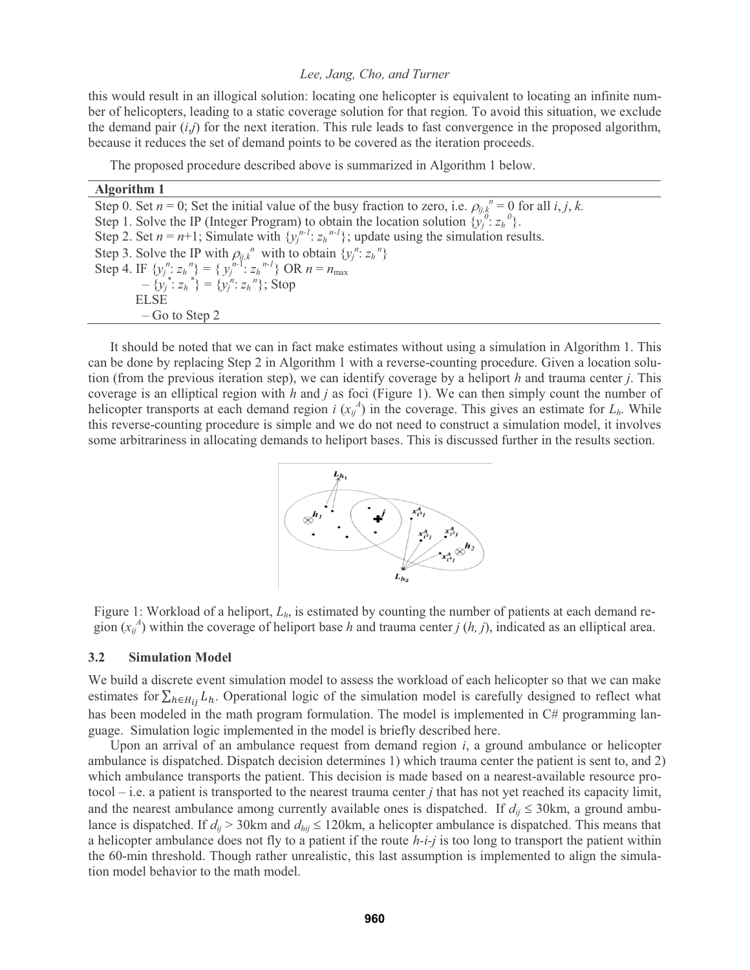this would result in an illogical solution: locating one helicopter is equivalent to locating an infinite number of helicopters, leading to a static coverage solution for that region. To avoid this situation, we exclude the demand pair (*i*,*j*) for the next iteration. This rule leads to fast convergence in the proposed algorithm, because it reduces the set of demand points to be covered as the iteration proceeds.

The proposed procedure described above is summarized in Algorithm 1 below.

**Algorithm 1** Step 0. Set  $n = 0$ ; Set the initial value of the busy fraction to zero, i.e.  $\rho_{ijk}^n = 0$  for all *i*, *j*, *k.* Step 1. Solve the IP (Integer Program) to obtain the location solution  $\{y_j^0 : z_h^0\}$ . Step 2. Set  $n = n+1$ ; Simulate with  $\{y_j^{n-1}: z_h^{n-1}\}$ ; update using the simulation results. Step 3. Solve the IP with  $\rho_{ijk}^n$  with to obtain  $\{y_j^n : z_h^n\}$ Step 4. IF  $\{y_j^n: z_h^n\} = \{y_j^{n-1}: z_h^{n-1}\}$  OR  $n = n_{\text{max}}$  $-\{y_j^* : z_h^*\} = \{y_j^n : z_h^n\}$ ; Stop ELSE – Go to Step 2

 It should be noted that we can in fact make estimates without using a simulation in Algorithm 1. This can be done by replacing Step 2 in Algorithm 1 with a reverse-counting procedure. Given a location solution (from the previous iteration step), we can identify coverage by a heliport *h* and trauma center *j*. This coverage is an elliptical region with *h* and *j* as foci (Figure 1). We can then simply count the number of helicopter transports at each demand region *i* ( $x_{ij}$ <sup>A</sup>) in the coverage. This gives an estimate for  $L_h$ . While this reverse-counting procedure is simple and we do not need to construct a simulation model, it involves some arbitrariness in allocating demands to heliport bases. This is discussed further in the results section.



Figure 1: Workload of a heliport,  $L<sub>h</sub>$ , is estimated by counting the number of patients at each demand region  $(x_j^A)$  within the coverage of heliport base *h* and trauma center *j* (*h*, *j*), indicated as an elliptical area.

#### **3.2 Simulation Model**

We build a discrete event simulation model to assess the workload of each helicopter so that we can make estimates for  $\sum_{h \in H_{ij}} L_h$ . Operational logic of the simulation model is carefully designed to reflect what has been modeled in the math program formulation. The model is implemented in C# programming language. Simulation logic implemented in the model is briefly described here.

 Upon an arrival of an ambulance request from demand region *i*, a ground ambulance or helicopter ambulance is dispatched. Dispatch decision determines 1) which trauma center the patient is sent to, and 2) which ambulance transports the patient. This decision is made based on a nearest-available resource protocol – i.e. a patient is transported to the nearest trauma center *j* that has not yet reached its capacity limit, and the nearest ambulance among currently available ones is dispatched. If  $d_{ii} \leq 30$ km, a ground ambulance is dispatched. If  $d_{ij}$  > 30km and  $d_{hij}$   $\leq$  120km, a helicopter ambulance is dispatched. This means that a helicopter ambulance does not fly to a patient if the route *h-i-j* is too long to transport the patient within the 60-min threshold. Though rather unrealistic, this last assumption is implemented to align the simulation model behavior to the math model.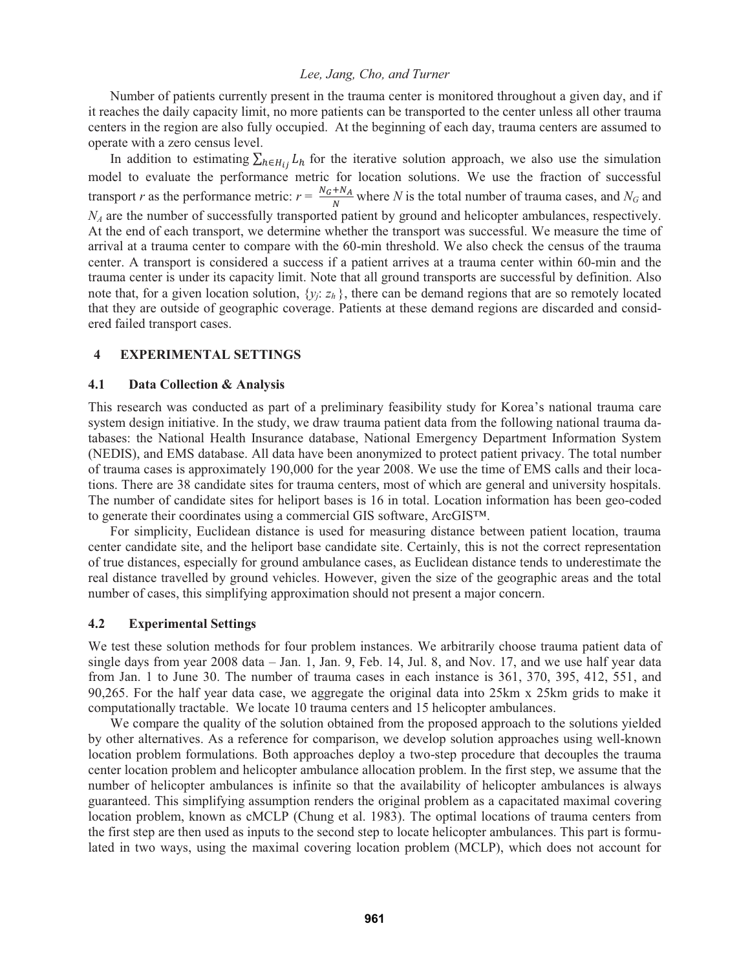Number of patients currently present in the trauma center is monitored throughout a given day, and if it reaches the daily capacity limit, no more patients can be transported to the center unless all other trauma centers in the region are also fully occupied. At the beginning of each day, trauma centers are assumed to operate with a zero census level.

In addition to estimating  $\sum_{h \in H_{ij}} L_h$  for the iterative solution approach, we also use the simulation model to evaluate the performance metric for location solutions. We use the fraction of successful transport *r* as the performance metric:  $r = \frac{N_G + N_A}{N}$  $\frac{M_{N}}{N}$  where *N* is the total number of trauma cases, and  $N_{G}$  and  $N_A$  are the number of successfully transported patient by ground and helicopter ambulances, respectively. At the end of each transport, we determine whether the transport was successful. We measure the time of arrival at a trauma center to compare with the 60-min threshold. We also check the census of the trauma center. A transport is considered a success if a patient arrives at a trauma center within 60-min and the trauma center is under its capacity limit. Note that all ground transports are successful by definition. Also note that, for a given location solution,  $\{y_i: z_h\}$ , there can be demand regions that are so remotely located that they are outside of geographic coverage. Patients at these demand regions are discarded and considered failed transport cases.

## **4 EXPERIMENTAL SETTINGS**

### **4.1 Data Collection & Analysis**

This research was conducted as part of a preliminary feasibility study for Korea's national trauma care system design initiative. In the study, we draw trauma patient data from the following national trauma databases: the National Health Insurance database, National Emergency Department Information System (NEDIS), and EMS database. All data have been anonymized to protect patient privacy. The total number of trauma cases is approximately 190,000 for the year 2008. We use the time of EMS calls and their locations. There are 38 candidate sites for trauma centers, most of which are general and university hospitals. The number of candidate sites for heliport bases is 16 in total. Location information has been geo-coded to generate their coordinates using a commercial GIS software, ArcGIS™.

For simplicity, Euclidean distance is used for measuring distance between patient location, trauma center candidate site, and the heliport base candidate site. Certainly, this is not the correct representation of true distances, especially for ground ambulance cases, as Euclidean distance tends to underestimate the real distance travelled by ground vehicles. However, given the size of the geographic areas and the total number of cases, this simplifying approximation should not present a major concern.

#### **4.2 Experimental Settings**

We test these solution methods for four problem instances. We arbitrarily choose trauma patient data of single days from year  $2008$  data  $-$  Jan. 1, Jan. 9, Feb. 14, Jul. 8, and Nov. 17, and we use half year data from Jan. 1 to June 30. The number of trauma cases in each instance is 361, 370, 395, 412, 551, and 90,265. For the half year data case, we aggregate the original data into 25km x 25km grids to make it computationally tractable. We locate 10 trauma centers and 15 helicopter ambulances.

 We compare the quality of the solution obtained from the proposed approach to the solutions yielded by other alternatives. As a reference for comparison, we develop solution approaches using well-known location problem formulations. Both approaches deploy a two-step procedure that decouples the trauma center location problem and helicopter ambulance allocation problem. In the first step, we assume that the number of helicopter ambulances is infinite so that the availability of helicopter ambulances is always guaranteed. This simplifying assumption renders the original problem as a capacitated maximal covering location problem, known as cMCLP (Chung et al. 1983). The optimal locations of trauma centers from the first step are then used as inputs to the second step to locate helicopter ambulances. This part is formulated in two ways, using the maximal covering location problem (MCLP), which does not account for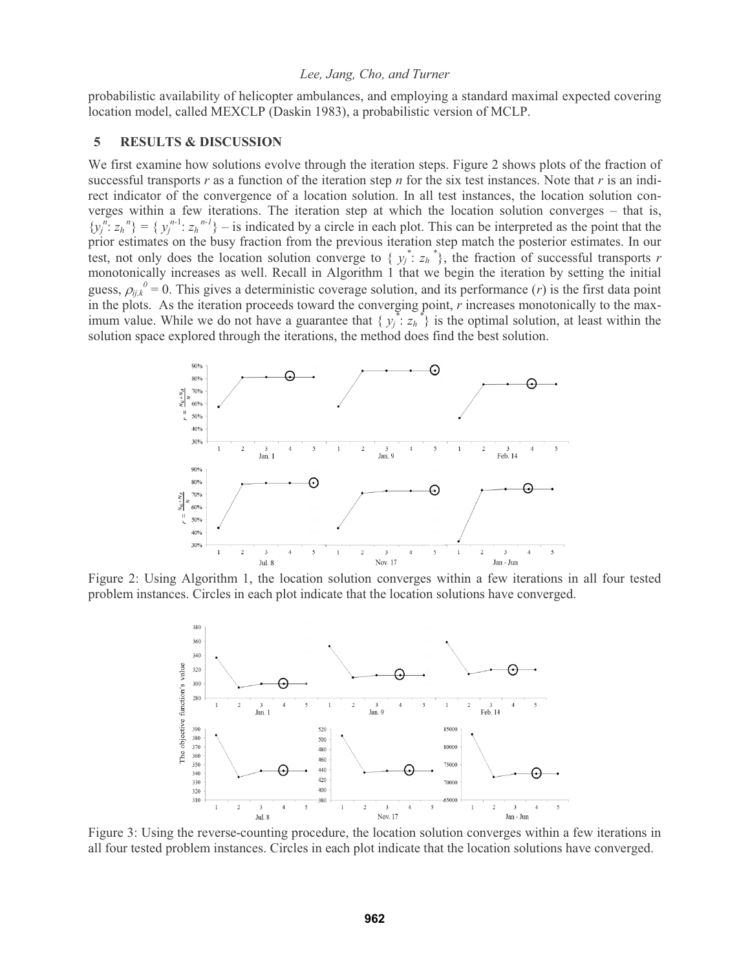probabilistic availability of helicopter ambulances, and employing a standard maximal expected covering location model, called MEXCLP (Daskin 1983), a probabilistic version of MCLP.

# **5 RESULTS & DISCUSSION**

We first examine how solutions evolve through the iteration steps. Figure 2 shows plots of the fraction of successful transports  $r$  as a function of the iteration step  $n$  for the six test instances. Note that  $r$  is an indirect indicator of the convergence of a location solution. In all test instances, the location solution converges within a few iterations. The iteration step at which the location solution converges – that is,  ${y_j^n: z_h^n} = {y_j^{n-1}: z_h^{n-l}}$  – is indicated by a circle in each plot. This can be interpreted as the point that the prior estimates on the busy fraction from the previous iteration step match the posterior estimates. In our prior estimates on the busy fraction from the previous iteration step match the posterior estimates. In our test, not only does the location solution converge to  $\{y_i^* : z_h^*\}$ , the fraction of successful transports *r* monotonically increases as well. Recall in Algorithm 1 that we begin the iteration by setting the initial guess,  $\rho_{ij,k}^0 = 0$ . This gives a deterministic coverage solution, and its performance (*r*) is the first data point in the plots. As the iteration proceeds toward the converging point, *r* increases monotonically to the maximum value. While we do not have a guarantee that  $\{y_j^* : z_h^*\}$  is the optimal solution, at least within the solution space explored through the iterations, the method does find the best solution.



Figure 2: Using Algorithm 1, the location solution converges within a few iterations in all four tested problem instances. Circles in each plot indicate that the location solutions have converged.



Figure 3: Using the reverse-counting procedure, the location solution converges within a few iterations in all four tested problem instances. Circles in each plot indicate that the location solutions have converged.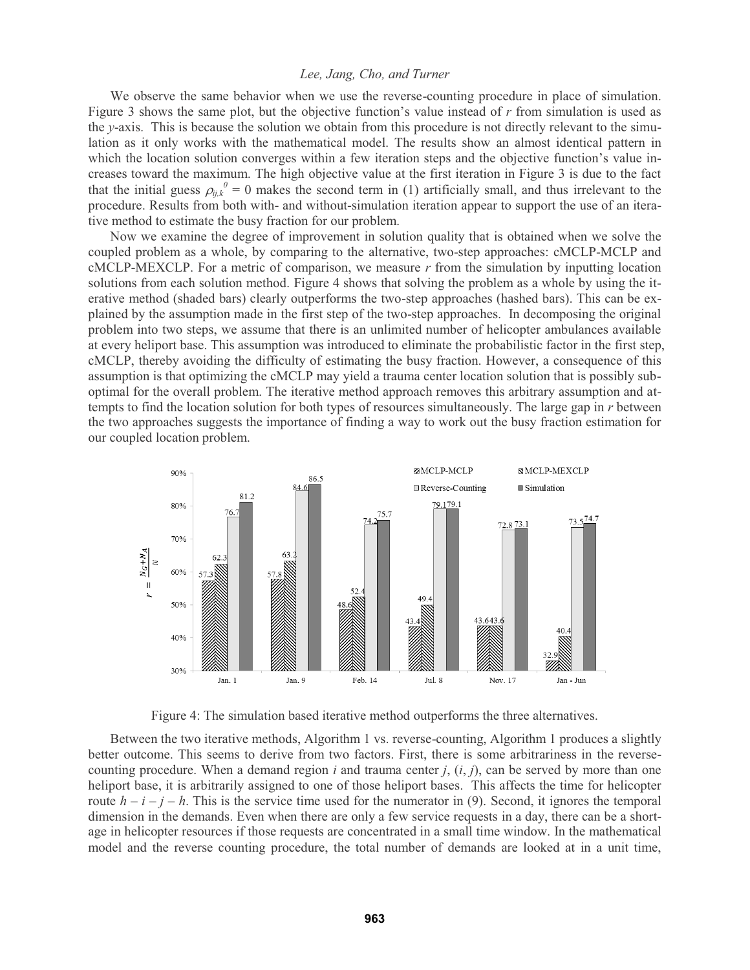We observe the same behavior when we use the reverse-counting procedure in place of simulation. Figure 3 shows the same plot, but the objective function's value instead of *r* from simulation is used as the *y*-axis. This is because the solution we obtain from this procedure is not directly relevant to the simulation as it only works with the mathematical model. The results show an almost identical pattern in which the location solution converges within a few iteration steps and the objective function's value increases toward the maximum. The high objective value at the first iteration in Figure 3 is due to the fact that the initial guess  $\rho_{ijk}^0 = 0$  makes the second term in (1) artificially small, and thus irrelevant to the procedure. Results from both with- and without-simulation iteration appear to support the use of an iterative method to estimate the busy fraction for our problem.

Now we examine the degree of improvement in solution quality that is obtained when we solve the coupled problem as a whole, by comparing to the alternative, two-step approaches: cMCLP-MCLP and cMCLP-MEXCLP. For a metric of comparison, we measure *r* from the simulation by inputting location solutions from each solution method. Figure 4 shows that solving the problem as a whole by using the iterative method (shaded bars) clearly outperforms the two-step approaches (hashed bars). This can be explained by the assumption made in the first step of the two-step approaches. In decomposing the original problem into two steps, we assume that there is an unlimited number of helicopter ambulances available at every heliport base. This assumption was introduced to eliminate the probabilistic factor in the first step, cMCLP, thereby avoiding the difficulty of estimating the busy fraction. However, a consequence of this assumption is that optimizing the cMCLP may yield a trauma center location solution that is possibly suboptimal for the overall problem. The iterative method approach removes this arbitrary assumption and attempts to find the location solution for both types of resources simultaneously. The large gap in *r* between the two approaches suggests the importance of finding a way to work out the busy fraction estimation for our coupled location problem.



Figure 4: The simulation based iterative method outperforms the three alternatives.

Between the two iterative methods, Algorithm 1 vs. reverse-counting, Algorithm 1 produces a slightly better outcome. This seems to derive from two factors. First, there is some arbitrariness in the reversecounting procedure. When a demand region  $i$  and trauma center  $j$ ,  $(i, j)$ , can be served by more than one heliport base, it is arbitrarily assigned to one of those heliport bases. This affects the time for helicopter route  $h - i - j - h$ . This is the service time used for the numerator in (9). Second, it ignores the temporal dimension in the demands. Even when there are only a few service requests in a day, there can be a shortage in helicopter resources if those requests are concentrated in a small time window. In the mathematical model and the reverse counting procedure, the total number of demands are looked at in a unit time,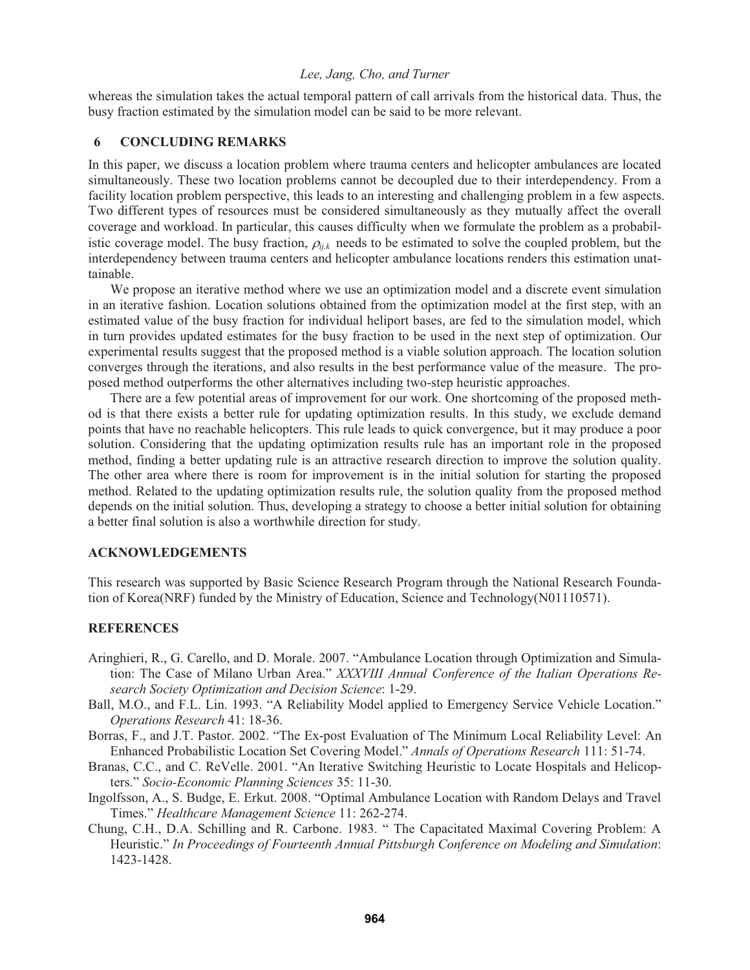whereas the simulation takes the actual temporal pattern of call arrivals from the historical data. Thus, the busy fraction estimated by the simulation model can be said to be more relevant.

# **6 CONCLUDING REMARKS**

In this paper, we discuss a location problem where trauma centers and helicopter ambulances are located simultaneously. These two location problems cannot be decoupled due to their interdependency. From a facility location problem perspective, this leads to an interesting and challenging problem in a few aspects. Two different types of resources must be considered simultaneously as they mutually affect the overall coverage and workload. In particular, this causes difficulty when we formulate the problem as a probabilistic coverage model. The busy fraction,  $\rho_{ijk}$  needs to be estimated to solve the coupled problem, but the interdependency between trauma centers and helicopter ambulance locations renders this estimation unattainable.

We propose an iterative method where we use an optimization model and a discrete event simulation in an iterative fashion. Location solutions obtained from the optimization model at the first step, with an estimated value of the busy fraction for individual heliport bases, are fed to the simulation model, which in turn provides updated estimates for the busy fraction to be used in the next step of optimization. Our experimental results suggest that the proposed method is a viable solution approach. The location solution converges through the iterations, and also results in the best performance value of the measure. The proposed method outperforms the other alternatives including two-step heuristic approaches.

There are a few potential areas of improvement for our work. One shortcoming of the proposed method is that there exists a better rule for updating optimization results. In this study, we exclude demand points that have no reachable helicopters. This rule leads to quick convergence, but it may produce a poor solution. Considering that the updating optimization results rule has an important role in the proposed method, finding a better updating rule is an attractive research direction to improve the solution quality. The other area where there is room for improvement is in the initial solution for starting the proposed method. Related to the updating optimization results rule, the solution quality from the proposed method depends on the initial solution. Thus, developing a strategy to choose a better initial solution for obtaining a better final solution is also a worthwhile direction for study.

## **ACKNOWLEDGEMENTS**

This research was supported by Basic Science Research Program through the National Research Foundation of Korea(NRF) funded by the Ministry of Education, Science and Technology(N01110571).

#### **REFERENCES**

- Aringhieri, R., G. Carello, and D. Morale. 2007. "Ambulance Location through Optimization and Simulation: The Case of Milano Urban Area." *XXXVIII Annual Conference of the Italian Operations Research Society Optimization and Decision Science*: 1-29.
- Ball, M.O., and F.L. Lin. 1993. "A Reliability Model applied to Emergency Service Vehicle Location." *Operations Research* 41: 18-36.
- Borras, F., and J.T. Pastor. 2002. "The Ex-post Evaluation of The Minimum Local Reliability Level: An Enhanced Probabilistic Location Set Covering Model." *Annals of Operations Research* 111: 51-74.
- Branas, C.C., and C. ReVelle. 2001. "An Iterative Switching Heuristic to Locate Hospitals and Helicopters." *Socio-Economic Planning Sciences* 35: 11-30.
- Ingolfsson, A., S. Budge, E. Erkut. 2008. "Optimal Ambulance Location with Random Delays and Travel Times." *Healthcare Management Science* 11: 262-274.
- Chung, C.H., D.A. Schilling and R. Carbone. 1983. " The Capacitated Maximal Covering Problem: A Heuristic." *In Proceedings of Fourteenth Annual Pittsburgh Conference on Modeling and Simulation*: 1423-1428.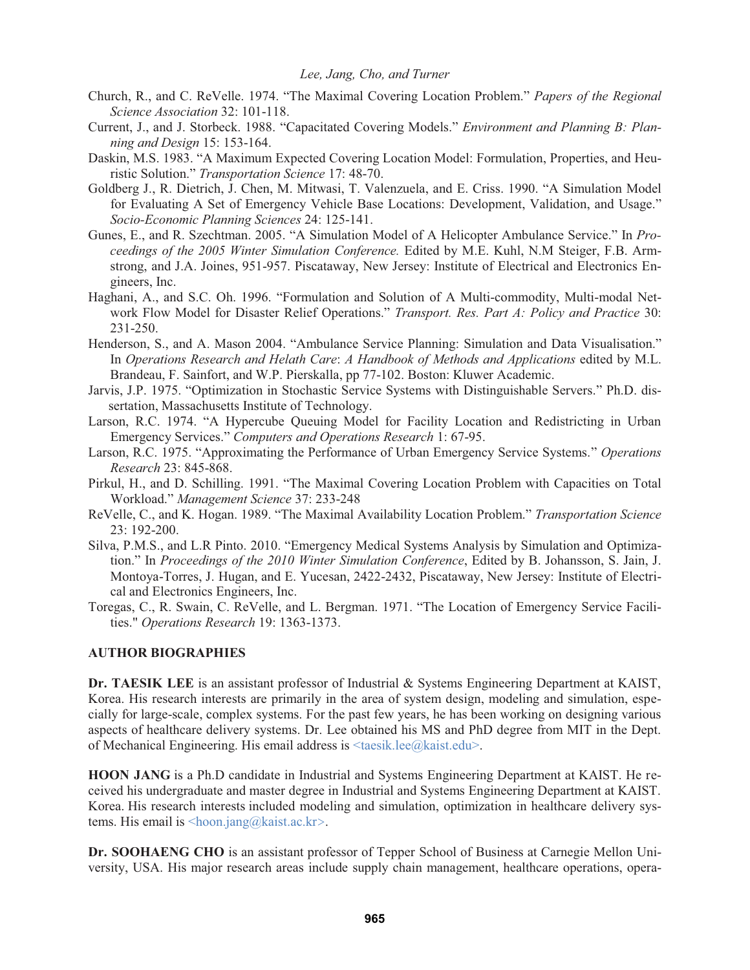- Church, R., and C. ReVelle. 1974. "The Maximal Covering Location Problem." *Papers of the Regional Science Association* 32: 101-118.
- Current, J., and J. Storbeck. 1988. "Capacitated Covering Models." *Environment and Planning B: Planning and Design* 15: 153-164.
- Daskin, M.S. 1983. "A Maximum Expected Covering Location Model: Formulation, Properties, and Heuristic Solution." *Transportation Science* 17: 48-70.
- Goldberg J., R. Dietrich, J. Chen, M. Mitwasi, T. Valenzuela, and E. Criss. 1990. "A Simulation Model for Evaluating A Set of Emergency Vehicle Base Locations: Development, Validation, and Usage." *Socio-Economic Planning Sciences* 24: 125-141.
- Gunes, E., and R. Szechtman. 2005. "A Simulation Model of A Helicopter Ambulance Service." In *Proceedings of the 2005 Winter Simulation Conference.* Edited by M.E. Kuhl, N.M Steiger, F.B. Armstrong, and J.A. Joines, 951-957. Piscataway, New Jersey: Institute of Electrical and Electronics Engineers, Inc.
- Haghani, A., and S.C. Oh. 1996. "Formulation and Solution of A Multi-commodity, Multi-modal Network Flow Model for Disaster Relief Operations." *Transport. Res. Part A: Policy and Practice* 30: 231-250.
- Henderson, S., and A. Mason 2004. "Ambulance Service Planning: Simulation and Data Visualisation." In *Operations Research and Helath Care*: *A Handbook of Methods and Applications* edited by M.L. Brandeau, F. Sainfort, and W.P. Pierskalla, pp 77-102. Boston: Kluwer Academic.
- Jarvis, J.P. 1975. "Optimization in Stochastic Service Systems with Distinguishable Servers." Ph.D. dissertation, Massachusetts Institute of Technology.
- Larson, R.C. 1974. "A Hypercube Queuing Model for Facility Location and Redistricting in Urban Emergency Services." *Computers and Operations Research* 1: 67-95.
- Larson, R.C. 1975. "Approximating the Performance of Urban Emergency Service Systems." *Operations Research* 23: 845-868.
- Pirkul, H., and D. Schilling. 1991. "The Maximal Covering Location Problem with Capacities on Total Workload." *Management Science* 37: 233-248
- ReVelle, C., and K. Hogan. 1989. "The Maximal Availability Location Problem." *Transportation Science* 23: 192-200.
- Silva, P.M.S., and L.R Pinto. 2010. "Emergency Medical Systems Analysis by Simulation and Optimization." In *Proceedings of the 2010 Winter Simulation Conference*, Edited by B. Johansson, S. Jain, J. Montoya-Torres, J. Hugan, and E. Yucesan, 2422-2432, Piscataway, New Jersey: Institute of Electrical and Electronics Engineers, Inc.
- Toregas, C., R. Swain, C. ReVelle, and L. Bergman. 1971. "The Location of Emergency Service Facilities." *Operations Research* 19: 1363-1373.

# **AUTHOR BIOGRAPHIES**

**Dr. TAESIK LEE** is an assistant professor of Industrial & Systems Engineering Department at KAIST, Korea. His research interests are primarily in the area of system design, modeling and simulation, especially for large-scale, complex systems. For the past few years, he has been working on designing various aspects of healthcare delivery systems. Dr. Lee obtained his MS and PhD degree from MIT in the Dept. of Mechanical Engineering. His email address is <taesik.lee@kaist.edu>.

**HOON JANG** is a Ph.D candidate in Industrial and Systems Engineering Department at KAIST. He received his undergraduate and master degree in Industrial and Systems Engineering Department at KAIST. Korea. His research interests included modeling and simulation, optimization in healthcare delivery systems. His email is  $\leq$  hoon.jang@kaist.ac.kr>.

**Dr. SOOHAENG CHO** is an assistant professor of Tepper School of Business at Carnegie Mellon University, USA. His major research areas include supply chain management, healthcare operations, opera-